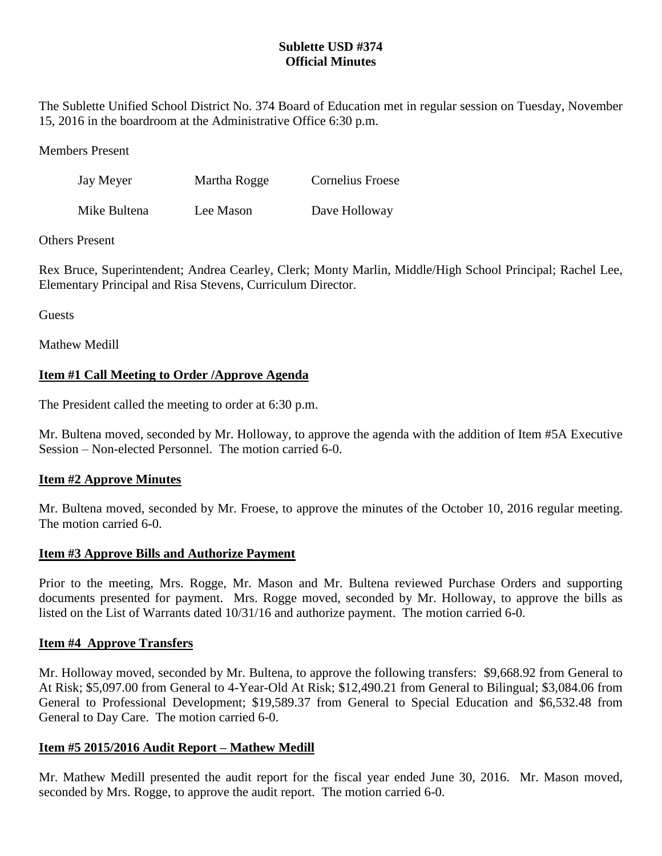# **Sublette USD #374 Official Minutes**

The Sublette Unified School District No. 374 Board of Education met in regular session on Tuesday, November 15, 2016 in the boardroom at the Administrative Office 6:30 p.m.

Members Present

| Jay Meyer    | Martha Rogge | Cornelius Froese |
|--------------|--------------|------------------|
| Mike Bultena | Lee Mason    | Dave Holloway    |

# Others Present

Rex Bruce, Superintendent; Andrea Cearley, Clerk; Monty Marlin, Middle/High School Principal; Rachel Lee, Elementary Principal and Risa Stevens, Curriculum Director.

Guests

Mathew Medill

# **Item #1 Call Meeting to Order /Approve Agenda**

The President called the meeting to order at 6:30 p.m.

Mr. Bultena moved, seconded by Mr. Holloway, to approve the agenda with the addition of Item #5A Executive Session – Non-elected Personnel. The motion carried 6-0.

# **Item #2 Approve Minutes**

Mr. Bultena moved, seconded by Mr. Froese, to approve the minutes of the October 10, 2016 regular meeting. The motion carried 6-0.

# **Item #3 Approve Bills and Authorize Payment**

Prior to the meeting, Mrs. Rogge, Mr. Mason and Mr. Bultena reviewed Purchase Orders and supporting documents presented for payment. Mrs. Rogge moved, seconded by Mr. Holloway, to approve the bills as listed on the List of Warrants dated 10/31/16 and authorize payment. The motion carried 6-0.

## **Item #4 Approve Transfers**

Mr. Holloway moved, seconded by Mr. Bultena, to approve the following transfers: \$9,668.92 from General to At Risk; \$5,097.00 from General to 4-Year-Old At Risk; \$12,490.21 from General to Bilingual; \$3,084.06 from General to Professional Development; \$19,589.37 from General to Special Education and \$6,532.48 from General to Day Care. The motion carried 6-0.

# **Item #5 2015/2016 Audit Report – Mathew Medill**

Mr. Mathew Medill presented the audit report for the fiscal year ended June 30, 2016. Mr. Mason moved, seconded by Mrs. Rogge, to approve the audit report. The motion carried 6-0.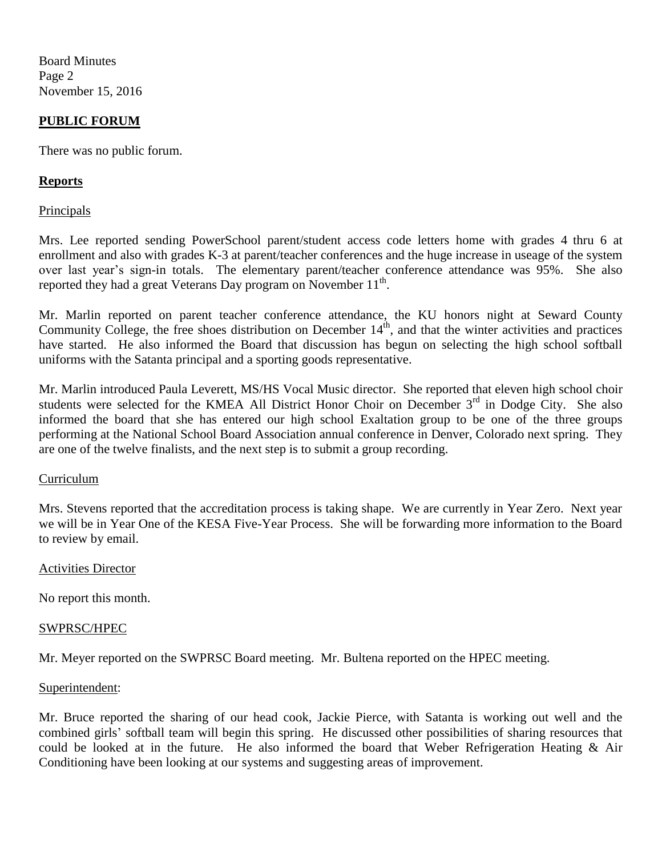Board Minutes Page 2 November 15, 2016

## **PUBLIC FORUM**

There was no public forum.

## **Reports**

**Principals** 

Mrs. Lee reported sending PowerSchool parent/student access code letters home with grades 4 thru 6 at enrollment and also with grades K-3 at parent/teacher conferences and the huge increase in useage of the system over last year's sign-in totals. The elementary parent/teacher conference attendance was 95%. She also reported they had a great Veterans Day program on November  $11<sup>th</sup>$ .

Mr. Marlin reported on parent teacher conference attendance, the KU honors night at Seward County Community College, the free shoes distribution on December  $14<sup>th</sup>$ , and that the winter activities and practices have started. He also informed the Board that discussion has begun on selecting the high school softball uniforms with the Satanta principal and a sporting goods representative.

Mr. Marlin introduced Paula Leverett, MS/HS Vocal Music director. She reported that eleven high school choir students were selected for the KMEA All District Honor Choir on December  $3<sup>rd</sup>$  in Dodge City. She also informed the board that she has entered our high school Exaltation group to be one of the three groups performing at the National School Board Association annual conference in Denver, Colorado next spring. They are one of the twelve finalists, and the next step is to submit a group recording.

## Curriculum

Mrs. Stevens reported that the accreditation process is taking shape. We are currently in Year Zero. Next year we will be in Year One of the KESA Five-Year Process. She will be forwarding more information to the Board to review by email.

#### Activities Director

No report this month.

#### SWPRSC/HPEC

Mr. Meyer reported on the SWPRSC Board meeting. Mr. Bultena reported on the HPEC meeting.

#### Superintendent:

Mr. Bruce reported the sharing of our head cook, Jackie Pierce, with Satanta is working out well and the combined girls' softball team will begin this spring. He discussed other possibilities of sharing resources that could be looked at in the future. He also informed the board that Weber Refrigeration Heating & Air Conditioning have been looking at our systems and suggesting areas of improvement.